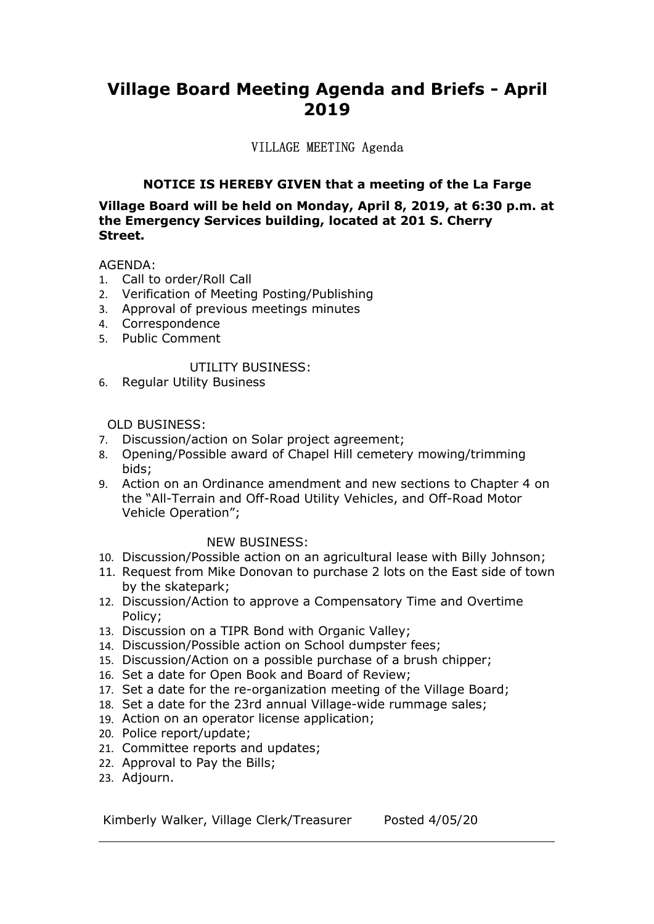# Village Board Meeting Agenda and Briefs - April<br>2019<br>VILLAGE MEETING Agenda 2019

# VILLAGE MEETING Agenda

1990 Board Meeting Agenda and Briefs - April<br>2019<br>WILLAGE MEETING Agenda<br>NOTICE IS HEREBY GIVEN that a meeting of the La Farge<br>1990 Board will be held on Monday, April 8, 2019, at 6:30 p.m. at<br>1999 Services building, locat Village Board Meeting Agenda and Briefs - April<br>2019<br>VILLAGE MEETING Agenda<br>NOTICE IS HEREBY GIVEN that a meeting of the La Farge<br>Village Board will be held on Monday, April 8, 2019, at 6:30 p.m. at<br>the Emergency Services Village Board Meeting Agenda and Briefs - April<br>2019<br>WILLAGE MEETING Agenda<br>NOTICE IS HEREBY GIVEN that a meeting of the La Farge<br>Village Board will be held on Monday, April 8, 2019, at 6:30 p.m. at<br>the Emergency Services Street. **Village Board Meeting Agenda and Briefs - April<br>2019**<br>VILLAGE MEETING Agenda<br>NOTICE IS HEREBY GIVEN that a meeting of the La Farge<br>Village Board will be held on Monday, April 8, 2019, at 6:30 p.m. at<br>the Emergency Service **Village Board Meeting Agenda and Briefs - April<br>2019**<br>VILLAGE MEETING Agenda<br>NOTICE IS HEREBY GIVEN that a meeting of the La Farge<br>Village Board will be held on Monday, April 8, 2019, at 6:30 p.m. at<br>the Emegency Services Village Board Meeting Agenda and Briefs - April<br>2019<br>VILLAGE MEETING Agenda<br>NOTICE IS HEREBY GIVEN that a meeting of the La Farge<br>Village Board will be held on Monday, April 8, 2019, at 6:30 p.m. at<br>the Emergency Services **Village Board Meeting Agenda and Briefs - Apple 192019**<br>
VILLAGE MEETING Agenda<br>
NOTICE IS HEREBY GIVEN that a meeting of the La Farg<br>
Village Board will be held on Monday, April 8, 2019, at 6:30 p.,<br>
the Emergency Servic **Oard Meeting Agenda and Briefs - April<br>2019**<br>VILLAGE MEETING Agenda<br>E IS HEREBY GIVEN that a meeting of the La Farge<br>will be held on Monday, April 8, 2019, at 6:30 p.m. at<br>y Services building, located at 201 S. Cherry<br>Pr/ VIILAGE MEETING Agental antium Direis - Aprinted and Streets - Aprinted and Streets CO19<br>
VILLAGE MEETING Agenda<br>
Willage Board will be held on Monday, April 8, 2019, at 6:30 p.m. at<br>
the Emergency Services building, locat VILLAGE MEETING Agenda<br> **NOTICE IS HEREBY GIVEN that a meeting of the La I<br>
illage Board will be held on Monday, April 8, 2019, at 6:3<br>
he Emergency Services building, located at 201 S. Cherry<br>
treet.<br>
GENDA:<br>
Call to orde** TILLAVID MEDITING Agenda<br>
YILLAVID MEDITING Agenda<br>
Village Board will be held on Monday, April 8, 2019, at 6:30 p.m. at<br>
the Emergency Services building, located at 201 S. Cherry<br>
Street.<br>
AGENDA:<br>
1. Call to order/Roll C **NOTICE IS HEREBY GIVEN that a meeting of the La Farge<br>
Village Board will be held on Monday, April 8, 2019, at 6:30 p.m. at<br>
the Emergency Services building, located at 201 S. Cherry<br>
Street.<br>
AGENDA:<br>
1. Call to order/Ro** Village Board will be held on Monday, April 8, 2019, at 6:30 p.m. at<br>the Emergency Services building, located at 201 S. Cherry<br>Street.<br>AGENDA:<br>A. Gorley Action of Meeting Posting/Publishing<br>2. Verification of Meeting Posti

# AGENDA:

- 
- 
- 
- 4. Correspondence
- 

- 
- bids;
- **age board will be held on Pronday, April 5, 2015, at 6:30 p.m. at**<br> **Emergency Services building, located at 201 S. Cherry**<br>
SiNDA:<br>
Call to order/Roll Call<br>
Approval of previous meetings minutes<br>
Approval of previous mee Emergency Services Building, located at 201 S. Cherry<br>
Etch Coll to order/Roll Call<br>
Certification of Meeting Posting/Publishing<br>
Approval of previous meetings minutes<br>
Correspondence<br>
Public Comment<br>
UTILITY BUSINESS:<br>
Re Roll Call<br>
Meeting Posting/Publishing<br>
ce<br>
ce<br>
ce<br>
ce<br>
commt<br>
ILITY BUSINESS:<br>
Business<br>
tion on Solar project agreement;<br>
ible award of Chapel Hill cemetery mowing/trimming<br>
Drdinance amendment and new sections to Chapter New Your Compares and the Columbus Posting/Publishing<br>
1. Call to order/Roll Call<br>
2. Verification of Meeting Posting/Publishing<br>
4. Correspondence<br>
5. Public Comment<br>
1. UTILITY BUSINESS:<br>
6. Regular Utility Business<br>
8. 1. Cant to order Koni Cali<br>
2. Verification of Meeting Posting/Publishing<br>
3. Approval of previous meetings minutes<br>
5. Public Comment<br>
11. UTILITY BUSINESS:<br>
7. Discussion/action on Solar project agreement;<br>
7. Discussion Vermation of meeting Posting/Publishing<br>Approval of previous meetings minutes<br>Correspondence<br>Public Comment<br>DITLITY BUSINESS:<br>Regular Utility Business<br>Discussion/action on Solar project agreement;<br>Discussion/action on Sola 3. Approval or previous inteedings infinites<br>
4. Correspondence<br>
5. Public Comment<br>
UTILITY BUSINESS:<br>
7. Discussion/Action on Solar project agreement;<br>
8. Dening/Possible award of Chapel Hill cemetery mowing/trimming<br>
bid 5. Public Collinent<br>
UTILITY BUSINESS:<br>
6. Regular Utility Business<br>
7. Discussion/action on Solar project agreement;<br>
7. Discussion/2ction on Solar project agreement;<br>
8. Opening/Possible award of Chapel Hill cemetery mow UTILITY BUSINESS:<br>
6. Regular Utility Business<br>
2. DLD BUSINESS:<br>
7. Discussion/action on Solar project agreement;<br>
8. Opening/Possible award of Chapel Hill cemetery mowing/trimming<br>
9. Action on an Ordinance amendment and 6. Regular Utility Business<br>
1911 Utility Business<br>
7. Discussion/Action on Solar project agreement;<br>
8. Opening/Possible award of Chapel Hill cemetery mowing/trimming<br>
bids;<br>
2. Action on an Ordinance amendment and new se 6. Regular Ulliny business<br>
7. Discussion/action on Solar project agreement;<br>
7. Discussion/action on Solar project agreement;<br>
8. Opening/Possible award of Chapel Hill cemetery mowing/trimming<br>
9. Action on an Ordinance a OLD BUSINESS:<br>
7. Discussion/action on Solar project agreement;<br>
8. Opening/Possible award of Chapel Hill cemetery mowing/trimming<br>
bids;<br>
8. dction on an Ordinance amendment and new sections to Chapter 4 on<br>
the "All-Terr OLD BUSINESS:<br>
2. Discussion/action on Solar project agreement;<br>
2. Set a date for Solar and off-Road Utility Vehicles, and Off-Road Motor<br>
9. Action on an Ordinance amendment and new sections to Chapter 4 on<br>
the "All-Ter 19. Doscussion, and a many project agreement;<br>
2. Discussion/action on Solar project agreement;<br>
2. Discussion/Possible award of Chapel Hill cemetery mowing/trimming<br>
3. Action on an Ordinance amendment and new sections to 7. Busussion on in Journal project agreement,<br>
20. Opening/Possible award of Chapel Hill cemetery mowing/trimminy<br>
bids;<br>
9. Action on an Ordinance amendment and new sections to Chapter<br>
the "All-Terrain and Off-Road Utili 21. Discussion on an order in center y internet of the National bids;<br>
9. Action on an Ordinance amendment and new sections to Chapter 4 on<br>
the "All-Terrain and Off-Road Utility Vehicles, and Off-Road Motor<br>
Vehicle Opera 20. Ation on an Ordinance amendment and new sections to Chapter 4 on<br>the "All-Terrain and Off-Road Utility Vehicles, and Off-Road Motor<br>Vehicle Operation";<br>The Billy Johnson;<br>10. Discussion/Possible action on an agricultu

- 
- NEW BUSINESS:<br>
O. Discussion/Possible action on an agricultural lease with Billy Johnson;<br>
1.1. Request from Mike Donovan to purchase 2 lots on the East side of town<br>
by the skatepark;<br>
2. Discussion/Action to approve a Co
- Policy;
- 
- 
- 
- 
- 
- 
- 
- 
- 
- 
- 23. Adjourn.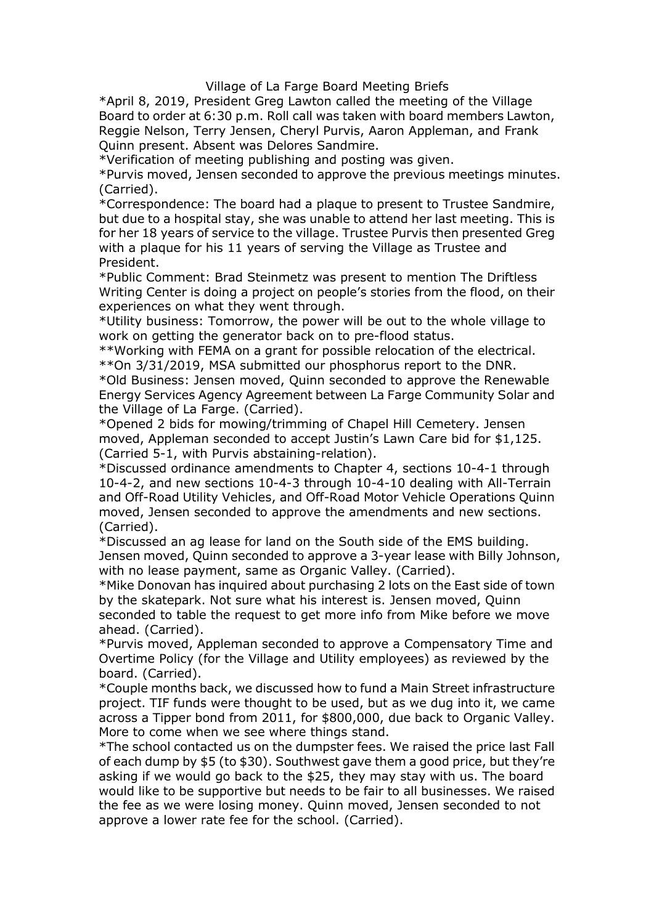Village of La Farge Board Meeting Briefs<br>esident Greg Lawton called the meeting of the Village<br>6:30 p.m. Roll call was taken with board members Lawton,<br>prry Jensen, Cheryl Purvis, Aaron Appleman, and Frank<br>psent was Delore Village of La Farge Board Meeting Briefs<br>\*April 8, 2019, President Greg Lawton called the meeting of the Village<br>Board to order at 6:30 p.m. Roll call was taken with board members Lawton,<br>Reggie Nelson, Terry Jensen, Chery Village of La Farge Board Meeting Briefs<br>\*April 8, 2019, President Greg Lawton called the meeting of the Village<br>Board to order at 6:30 p.m. Roll call was taken with board members Lawton,<br>Reggie Nelson, Terry Jensen, Chery Village of La Farge Board Meeting Briefs<br>\*April 8, 2019, President Greg Lawton called the meeting of the Village<br>Board to order at 6:30 p.m. Roll call was taken with board members Lawton,<br>Reggie Nelson, Terry Jensen, Chery Village of La Farge Board Meeting Briefs<br>
\*April 8, 2019, President Greg Lawton called the meeting of the Village<br>
Board to order at 6:30 p.m. Roll call was taken with board members Lawton,<br>
Reggie Nelson, Terry Jensen, Ch Village of La Farge Board Meeting Briefs<br>
\*April 8, 2019, President Greg Lawton called the meeting of the Village<br>
Board to order at 6:30 p.m. Roll call was taken with board members Lawton,<br>
Reggie Nelson, Terry Jensen, Ch Village of La Farge Board Meeting Briefs<br>
\*April 8, 2019, President Greg Lawton called the meeting of the Village<br>
Board to order at 6:30 p.m. Roll call was taken with board members Lawton,<br>
Reggie Nelson, Terry Jensen, Ch

(Carried).

\*April 8, 2019, Willage of La Farge Board Meeting Briefs<br>\*April 8, 2019, President Greg Lawton called the meeting of the Village<br>Board to order at 6:30 p.m. Roll call was taken with board members Lawton,<br>Reggie Nelson, Te Village of La Farge Board Meeting Briefs<br>\*April 8, 2019, President Greg Lawton called the meeting of the Village<br>Board to order at 6:30 p.m. Roll call was taken with board members Lawton,<br>Reggie Nelson, Terry Jensen, Chery <sup>\*</sup>April 8, 2019, <sup>Yilla</sup>ge of La Farge Board Meeting Briefs<br><sup>\*</sup>April 8, 2019, President Greg Lawton called the meeting of the Village<br>Board to order at 6:30 p.m. Roll call was taken with board members Lawton,<br>Reggie Nelso Xillage of La Farge Board Meeting Briefs<br>
\*April 8, 2019, President Greg Lawton called the meeting of the Village<br>
Board to order at 6:30 p.m. Roll call was taken with board members Lawton,<br>
Reggie Nelson, Terry Jensen, Ch President. Xapril 8, 2019, President Greg Lawton called the meeting of the Village  $*$ April 8, 2019, President Greg Lawton called the meeting of the Village Board to order at 6:30 p.m. Roll call was taken with board members Lawton, R <sup>\*</sup>April 8, 2019, President Greg Lawton called the meeting of the Village<br><sup>\*A</sup>pril 8, 2019, President Greg Lawton called the meeting of the Village<br>Roard to order at 6:30 p.m. Roll call was taken with board members Lawton, <sup>\*</sup>April 8, 2019, President Greg Lawton called the meeting of the Village<br>
\*April 8, 2019, President Greg Lawton called the meeting of the Village<br>
Board to order at 6:30 p.m. Roll call was taken with board members Lawton, \*April 8, 2019, President Green Lemance Metating Briefs<br>\*April 8, 2019, President Greg Lawton called the meeting of the Village<br>Board to order at 6:30 p.m. Roll call was taken with board members Lawton,<br>Reggie Nelson, Terr Xillage of La Farge Board Meeting Briefs<br>
Board to order at 6:30 p.m. Roll call was taken with board members Lawton,<br>
Reggie Nelson, Terry Jensen, Cheryl Purvis, Aaron Appleman, and Frank<br>
Reggie Nelson, Terry Jensen, Cher \*April 8, 2019, President Greg Law Farge Board Meeting Briefs<br>Board to order at 6:30 p.m. Roll call was taken with board members Lawton,<br>Reggie Nelson, Terry Jensen, Cheryl Purvis, Aaron Appleman, and Frank<br>Quinn present. \*April 8, 2019, <sup>Villa</sup>ge of La Farge Board Meeting Briefs<br>\*April 8, 2019, President Greg Lawton called the meeting of the Village<br>Board to order at 6:30 p.m. Roll call was taken with board members Lawton,<br>Reggie Nelson, T \*April 8, 2019, <sup>9</sup> meay the reave board viewthing ones and the Willage<br>Board to order at 6:30 p.m. Roll call was taken with board members Lawton,<br>Beggie Nelson, Terry Jensen, Cheryl Purvis, Aaron Appleman, and Frank<br>Quinn "Puru o, 2013, Pressiucin Gieg Lawion Canel une intereming of the vine preferency and Board to order at 6:30 p.m. Roll call was taken with board members Lawton, Regigle Nelson, Terry Jensen, Cheryl Purvis, Aaron Appleman, beaut worder at ...30 p.m... Now can was taken with observe the most seven in the section of meeting publishing and posting Pleman, and Frank Quinn present. Absent was Delores Sandmire.<br>
\*Purvis moved, Jensen seconded to a Neylie resolution of meeting publishing and positing. And the experiment, and the experiment of meeting publishing and posting was given.<br>
\*Purvis moved, Jensen seconded to approve the previous meetings minutes.<br>
\*Purvis m Will miresein. Abselt was between seconded to approve the Reneiting Contribution of meeting publishing and posting was given.<br>\*Correspondence: The board had a plaque to present to Trustee Sandmire, \*Correspondence: The boa " vernication of meeting punisming and possing and possing and possing and possing and possing and possing the provision method of the state of Carried Surface Carried but due to a hospital stay, she was unable to attend h Forwish moved, between the board had a plaque to present to Trustee Sandmire, <sup>\*</sup>Correspondence : The board had a plaque to present to Trustee Sandmire, but due to a hospital stay, she was unable to attend her last meeting Carriespondence: The board had a plaque to present to Trustee Sandmire,<br>
Yeorrespondence: The board also, she was unable to attend her last meeting. This is bot her als opsited stay, she was unable to attend her last methi

Conteption the boat is and plaque to present to fustee shamline, the boat to the to a hospital stay, she was unable to attend her last meeting. This is for her 18 years of service to the village. Trustee Purvis then presen but we to a nospiran say, se was uniter to actern in it as intecting. This is a proper of the 18 years of service to the village. Trustee Purvis then presented Greg with a plaque for his 11 years of serving the Village as (Carried). With a player on its 11 years of serving the vinage as fitsice and<br>
\*President.<br>
\*Poblic Comment: Brad Steinmetz was present to mention The Driftless<br>
\*Utility business: Tomorow, the power will be out to the whole village rissionia.<br>
Figure Comment: Brad Steinmetz was present to mention The Driftless<br>
Writing Center is doing a project on people's stories from the flood, on their<br>
experiences on what they went through.<br>
\*Utility business: To Prount Comment. Data Seimietz, was pessent to mention in Pointess<br>Writing Center is doing a project on people's stories from the flood, on their<br>experiences on what they went through.<br>
\*Utility business: Tomorrow, the powe withilty business: Tomorow, the power will be out to the whole village to<br>\*Utility business: Tomorow, the power will be out to the whole village to<br>\*Utility business: Tomorow, the power will be out to the whole village to<br> experiences on wind uery went univary.<br>
"Willity business: Tomorrow, the power will be out to the whole village to<br>
work on getting the generator back on to pre-flood status.<br>
\*\*Norking with FEMA on a grant for possible re Comty oussines. I cominowy, the power win be out to the winder when the electrical.<br>
\*\*Vorking with FEMA on a grant for possible relocation of the electrical.<br>
\*\*Vor 3/31/2019, MSA submitted our phosphorus report to the DN Work of geturuly the generator back of to pre-inous satus.<br>
\*\*Working with FEMA on a grant for possible relocation of the elect<br>
\*\*Working with FEMA on a grant for possible relocation of the elect<br>
\*\*On 3/31/2019, MSA subm \*\*\*Om 3/31/2019, MSA submitted our phosphorus report to the ecurve.<br>\*\*On 3/31/2019, MSA submitted our phosphorus report to the DNR.<br>\*\*On 3/31/2019, MSA submitted our phosphorus report to the RNR.<br>Energy Services Agency Agr \* Our sy are sominated our pinapprovals report to the Diwith Theory and the Village of La Farge Community Solar and the Village of La Farge. (Carried).<br>
\*Ole Bulage of La Farge. (Carried).<br>
\*Opened 2 bids for mowing/trimmi "Ou ausiness. Jensein inveuel, Quinn seconded to approve the Neirapy Services Agency Agreement between La Farge Community Steel Rengy Services Agency Agreement between La Farge Community Steel Rengy Services Agency Agreeme Lierly services Agenty Agreenian Derich Chapel Hill Cernetery. Jensen in the Village of La Farge. (Carried).<br>
\*Opened 2 bids for moving/trimining of Chapel Hill Cernetery. Jensen<br>
moved, Appleman seconded to accept Justin' the vinage of Laringe. (Carried).<br>
The vinage of Laringe is contently in the decept Justin's Lawn Care bid for \$1,125.<br>
moved, Appleman seconded to accept Justin's Lawn Care bid for \$1,125.<br>
(Carried 5-1, with Purvis abst "Operate 2 onis for informating of Crigater fill the chienety Jenseir (Carried 5-1, with hPuris abstabining-relation).<br>
(Carried 5-1, with hPuris abstabining-relation).<br>
"Bicscussed ordinance amendments to Chapter 4, secti moved, replead on the standed to come when the and the standed would give the standed of things stand off-Road near emerged and the 10-4-2, and new sections 10-4-3 through 10-4-10 dealing with All-Terrain and Off-Road Util

Cannet and the school contact and the school contact and the school contact and now sections 10-4-1 through the A-3 through to 10-4-10 dealing with All-Terrain and Off-Road Oltlity Vehicles, and Off-Road Motor Vehicle Oper of each dump by \$5 (to \$30). Southwest gave them a good price, but they're 10–<sup>4</sup>-2 and new secuons 10–4<sup>3</sup>-3 univer-10 usemly wour-10 the and Off-Road Motor Vehicle Operations Quinn moved, Jensen seconded to approve the amendments and new sections.<br>
\*Discussed an ag lease for land on the South s and on-"Noal outling y ventuce, and on the Sourthout of ventuce operations. (Carried), altansen moved, bapprove the amendments and new sections. (Carried),  $^{4}$ Discussed an ag lease for land on the South side of the EMS b moved, Jensen seconded to applove the annehalites and new sectoms.<br>
"Clarried).<br>
\*Discussed an ag lease for land on the South side of the EMS building.<br>
\*Discussed an age as payment, same as Organic Valley. (Carried).<br>
\*Mi Carried).<br>
Carried, and a lease for land on the South side of the EMS building.<br>
Yellocused an ag lease for land on approve a 3-year lease with Billy Johnson,<br>
Jennes moved, Quinn seconded to approve a 3-year lease with Bi